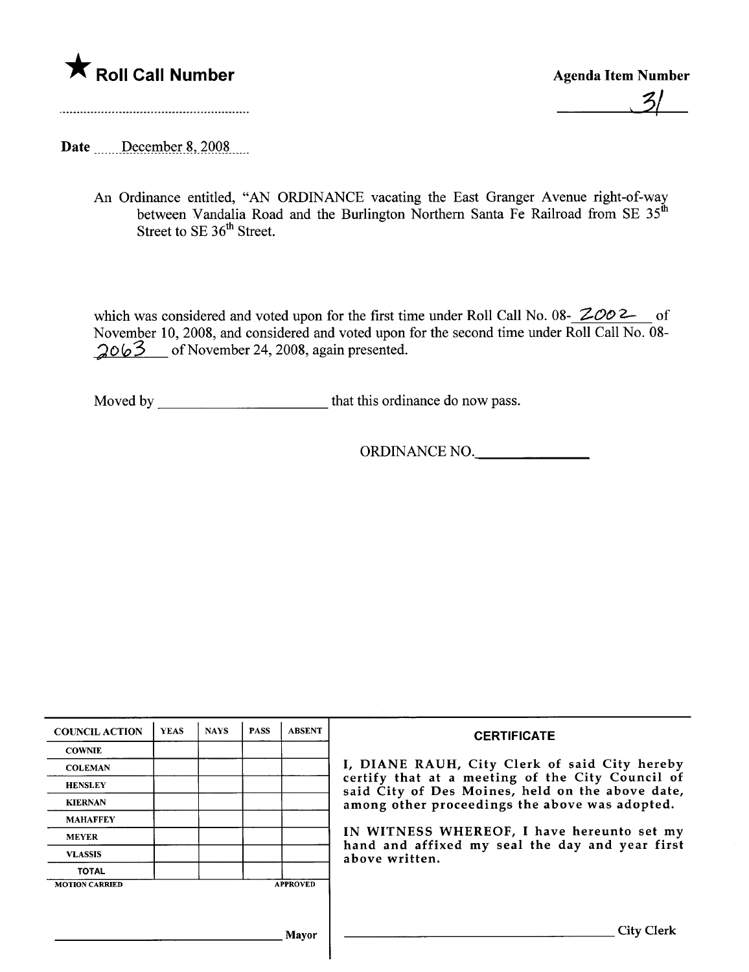

 $\mathcal{Z}_1$ 

Date \_\_\_\_\_December 8, 2008

An Ordinance entitled, "AN ORDINANCE vacating the East Granger Avenue right-of-way between Vandalia Road and the Burlington Northern Santa Fe Railroad from SE  $35<sup>th</sup>$ Street to SE 36<sup>th</sup> Street.

which was considered and voted upon for the first time under Roll Call No. 08-  $ZOO2$  of November 10,2008, and considered and voted upon for the second time under Roll Call No. 08-  $2063$  of November 24, 2008, again presented.

Moved by that this ordinance do now pass.

ORDINANCE NO.

| <b>COUNCIL ACTION</b> | <b>YEAS</b> | <b>NAYS</b> | <b>PASS</b> | <b>ABSENT</b>   | <b>CERTIFICATE</b>                                                                                                                                                                                                                                                                                                         |
|-----------------------|-------------|-------------|-------------|-----------------|----------------------------------------------------------------------------------------------------------------------------------------------------------------------------------------------------------------------------------------------------------------------------------------------------------------------------|
| <b>COWNIE</b>         |             |             |             |                 | I, DIANE RAUH, City Clerk of said City hereby<br>certify that at a meeting of the City Council of<br>said City of Des Moines, held on the above date,<br>among other proceedings the above was adopted.<br>IN WITNESS WHEREOF, I have hereunto set my<br>hand and affixed my seal the day and year first<br>above written. |
| <b>COLEMAN</b>        |             |             |             |                 |                                                                                                                                                                                                                                                                                                                            |
| <b>HENSLEY</b>        |             |             |             |                 |                                                                                                                                                                                                                                                                                                                            |
| <b>KIERNAN</b>        |             |             |             |                 |                                                                                                                                                                                                                                                                                                                            |
| <b>MAHAFFEY</b>       |             |             |             |                 |                                                                                                                                                                                                                                                                                                                            |
| <b>MEYER</b>          |             |             |             |                 |                                                                                                                                                                                                                                                                                                                            |
| <b>VLASSIS</b>        |             |             |             |                 |                                                                                                                                                                                                                                                                                                                            |
| <b>TOTAL</b>          |             |             |             |                 |                                                                                                                                                                                                                                                                                                                            |
| <b>MOTION CARRIED</b> |             |             |             | <b>APPROVED</b> |                                                                                                                                                                                                                                                                                                                            |
|                       |             |             |             |                 |                                                                                                                                                                                                                                                                                                                            |
| Mavor                 |             |             |             |                 | <b>City Clerk</b>                                                                                                                                                                                                                                                                                                          |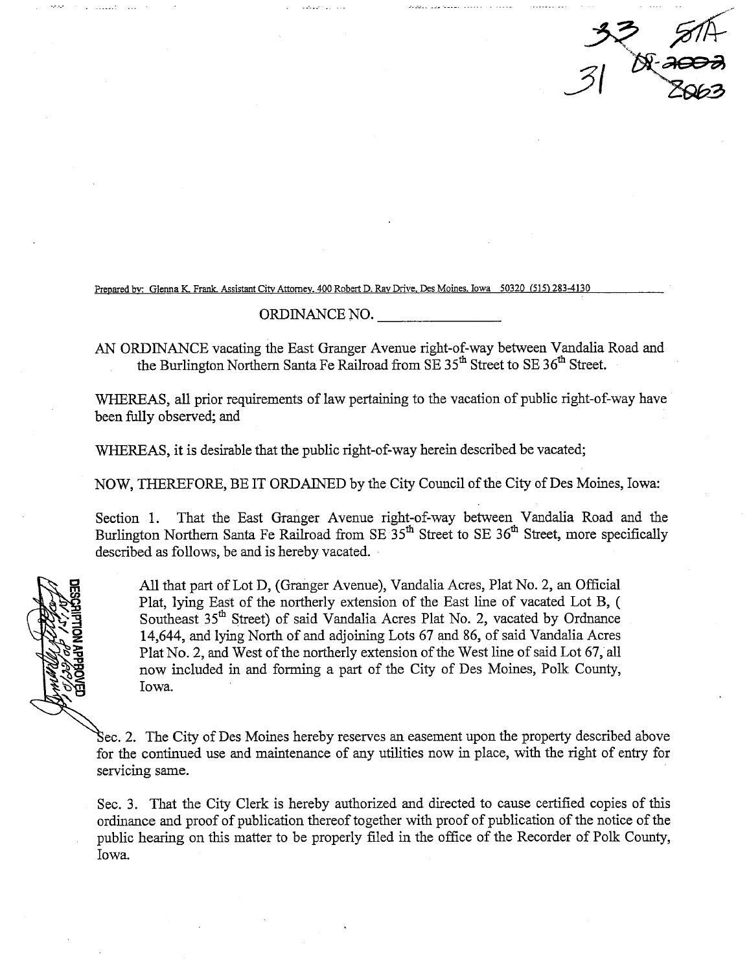$32, 514$ <br>31 A. 2003

Prepared by: Glenna K. Frank. Assistant City Attorney. 400 Robert D. Ray Drive. Des Moines. Iowa 50320 (515) 283-4130

## ORDINANCE NO.

AN ORDINANCE vacating the East Granger Avenue right-of-way between Vandalia Road and the Burlington Northern Santa Fe Railroad from SE 35<sup>th</sup> Street to SE 36<sup>th</sup> Street.

WHEREAS, all prior requirements of law pertaining to the vacation of public right-of-way have been fuly observed; and

WHEREAS, it is desirable that the public right-of-way herein described be vacated;

NOW, THEREFORE, BE IT ORDAINED by the City Council of the City of Des Moines, Iowa:

Section 1. That the East Granger Avenue right-of-way between Vandalia Road and the Burlington Northern Santa Fe Railroad from SE 35<sup>th</sup> Street to SE 36<sup>th</sup> Street, more specifically described as follows, be and is hereby vacated.

All that part of Lot D, (Granger Avenue), Vandalia Acres, Plat No. 2, an Official Plat, lyig East of the northerly extension of the East line of vacated Lot B, ( Southeast 35<sup>th</sup> Street) of said Vandalia Acres Plat No. 2, vacated by Ordnance 14,644, and lying North of and adjoining Lots 67 and 86, of said Vandalia Acres Plat No.2, and West of the northerly extension of the West line of said Lot 67, all now included in and forming a part of the City of Des Moines, Polk County, Iowa.

Sec. 2. The City of Des Moines hereby reserves an easement upon the property described above for the continued use and maintenance of any utilities now in place, with the right of entry for servicing same.

Sec. 3. That the City Clerk is hereby authorized and directed to cause certified copies of ths ordinance and proof of publication thereof together with proof of publication of the notice of the public hearing on this matter to be properly filed in the office of the Recorder of Polk County, Iowa.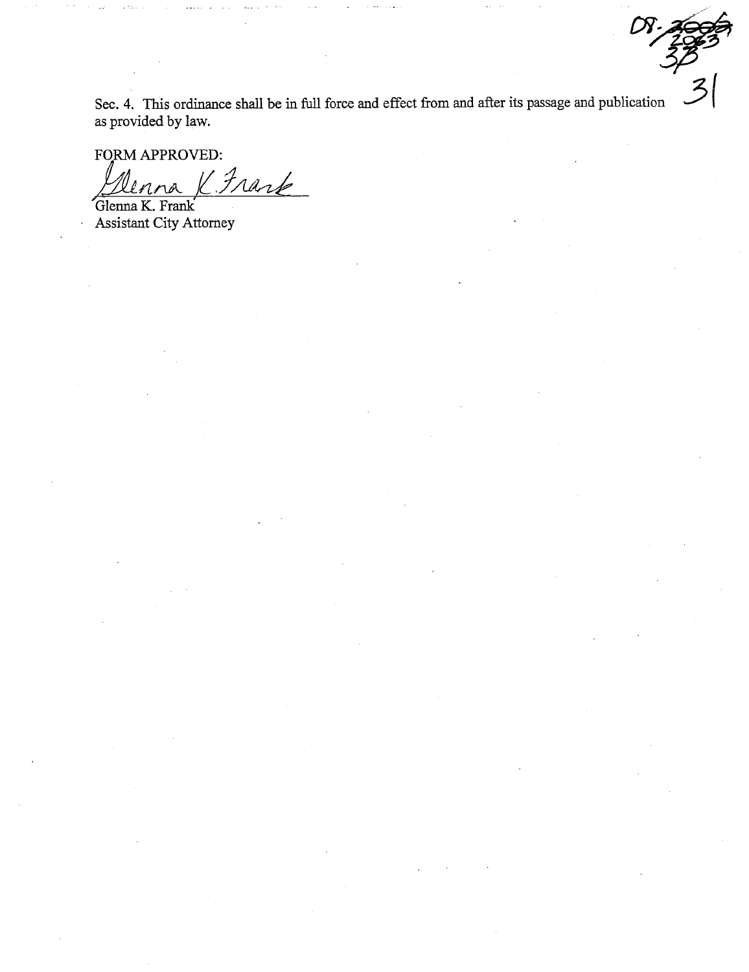Sec. 4. This ordinance shall be in full force and effect from and after its passage and publication as provided by law.

FORM APPROVED:

KFrank

Glenna K. Frank **Assistant City Attorney**